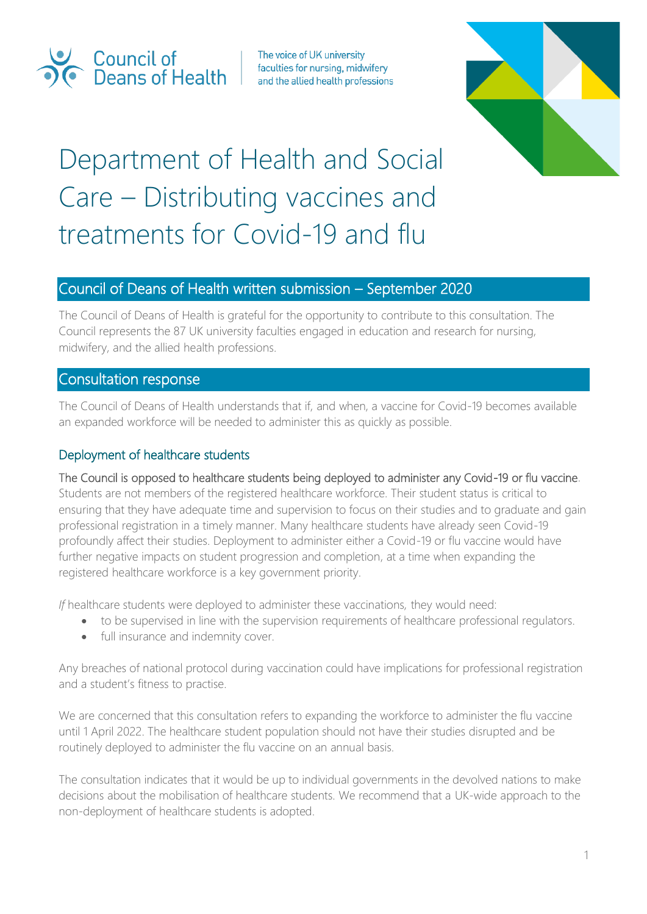

The voice of UK university faculties for nursing, midwifery and the allied health professions



# Department of Health and Social Care – Distributing vaccines and treatments for Covid-19 and flu

## Council of Deans of Health written submission – September 2020

The Council of Deans of Health is grateful for the opportunity to contribute to this consultation. The Council represents the 87 UK university faculties engaged in education and research for nursing, midwifery, and the allied health professions.

### Consultation response

The Council of Deans of Health understands that if, and when, a vaccine for Covid-19 becomes available an expanded workforce will be needed to administer this as quickly as possible.

#### Deployment of healthcare students

The Council is opposed to healthcare students being deployed to administer any Covid-19 or flu vaccine.

Students are not members of the registered healthcare workforce. Their student status is critical to ensuring that they have adequate time and supervision to focus on their studies and to graduate and gain professional registration in a timely manner. Many healthcare students have already seen Covid-19 profoundly affect their studies. Deployment to administer either a Covid-19 or flu vaccine would have further negative impacts on student progression and completion, at a time when expanding the registered healthcare workforce is a key government priority.

*If* healthcare students were deployed to administer these vaccinations, they would need:

- to be supervised in line with the supervision requirements of healthcare professional regulators.
- full insurance and indemnity cover.

Any breaches of national protocol during vaccination could have implications for professional registration and a student's fitness to practise.

We are concerned that this consultation refers to expanding the workforce to administer the flu vaccine until 1 April 2022. The healthcare student population should not have their studies disrupted and be routinely deployed to administer the flu vaccine on an annual basis.

The consultation indicates that it would be up to individual governments in the devolved nations to make decisions about the mobilisation of healthcare students. We recommend that a UK-wide approach to the non-deployment of healthcare students is adopted.